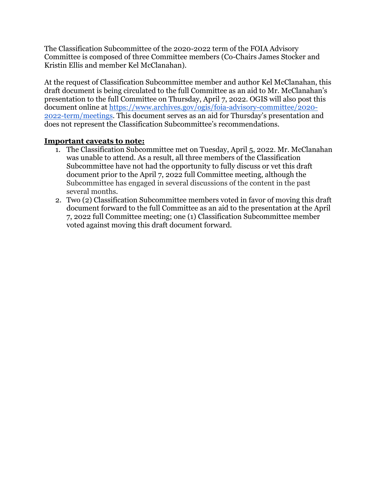The Classification Subcommittee of the 2020-2022 term of the FOIA Advisory Committee is composed of three Committee members (Co-Chairs James Stocker and Kristin Ellis and member Kel McClanahan).

At the request of Classification Subcommittee member and author Kel McClanahan, this draft document is being circulated to the full Committee as an aid to Mr. McClanahan's presentation to the full Committee on Thursday, April 7, 2022. OGIS will also post this document online at [https://www.archives.gov/ogis/foia-advisory-committee/2020-](https://www.archives.gov/ogis/foia-advisory-committee/2020-2022-term/meetings) [2022-term/meetings.](https://www.archives.gov/ogis/foia-advisory-committee/2020-2022-term/meetings) This document serves as an aid for Thursday's presentation and does not represent the Classification Subcommittee's recommendations.

# **Important caveats to note:**

- 1. The Classification Subcommittee met on Tuesday, April 5, 2022. Mr. McClanahan was unable to attend. As a result, all three members of the Classification Subcommittee have not had the opportunity to fully discuss or vet this draft document prior to the April 7, 2022 full Committee meeting, although the Subcommittee has engaged in several discussions of the content in the past several months.
- 2. Two (2) Classification Subcommittee members voted in favor of moving this draft document forward to the full Committee as an aid to the presentation at the April 7, 2022 full Committee meeting; one (1) Classification Subcommittee member voted against moving this draft document forward.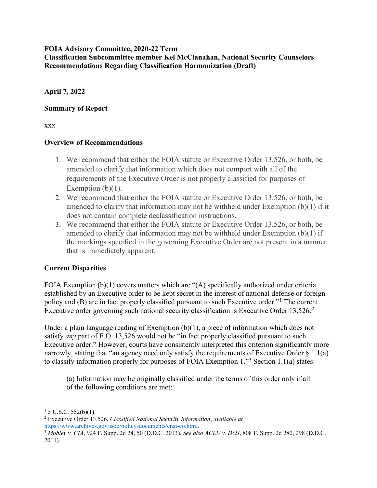### **FOIA Advisory Committee, 2020-22 Term Classification Subcommittee member Kel McClanahan, National Security Counselors Recommendations Regarding Classification Harmonization (Draft)**

**April 7, 2022**

### **Summary of Report**

xxx

### **Overview of Recommendations**

- 1. We recommend that either the FOIA statute or Executive Order 13,526, or both, be amended to clarify that information which does not comport with all of the requirements of the Executive Order is not properly classified for purposes of Exemption  $(b)(1)$ .
- 2. We recommend that either the FOIA statute or Executive Order 13,526, or both, be amended to clarify that information may not be withheld under Exemption (b)(1) if it does not contain complete declassification instructions.
- 3. We recommend that either the FOIA statute or Executive Order 13,526, or both, be amended to clarify that information may not be withheld under Exemption (b)(1) if the markings specified in the governing Executive Order are not present in a manner that is immediately apparent.

# **Current Disparities**

FOIA Exemption (b)(1) covers matters which are "(A) specifically authorized under criteria established by an Executive order to be kept secret in the interest of national defense or foreign policy and (B) are in fact properly classified pursuant to such Executive order."[1](#page-1-0) The current Executive order governing such national security classification is Executive Order  $13.526$  $13.526$  $13.526$ <sup>2</sup>

Under a plain language reading of Exemption (b)(1), a piece of information which does not satisfy *any* part of E.O. 13,526 would not be "in fact properly classified pursuant to such Executive order." However, courts have consistently interpreted this criterion significantly more narrowly, stating that "an agency need only satisfy the requirements of Executive Order  $\S 1.1(a)$ to classify information properly for purposes of FOIA Exemption 1."[3](#page-1-2) Section 1.1(a) states:

(a) Information may be originally classified under the terms of this order only if all of the following conditions are met:

<span id="page-1-0"></span> $1\,$  5 U.S.C. 552(b)(1).

<span id="page-1-1"></span><sup>2</sup> Executive Order 13,526, *Classified National Security Information*, *available at* [https://www.archives.gov/isoo/policy-documents/cnsi-eo.html.](https://www.archives.gov/isoo/policy-documents/cnsi-eo.html)

<span id="page-1-2"></span><sup>3</sup> *Mobley v. CIA*, 924 F. Supp. 2d 24, 50 (D.D.C. 2013). *See also ACLU v. DOJ*, 808 F. Supp. 2d 280, 298 (D.D.C. 2011).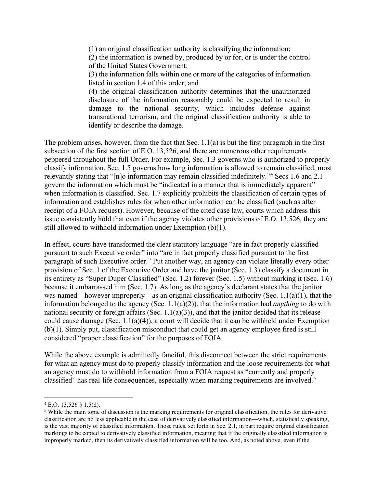(1) an original classification authority is classifying the information;

(2) the information is owned by, produced by or for, or is under the control of the United States Government;

(3) the information falls within one or more of the categories of information listed in section 1.4 of this order; and

(4) the original classification authority determines that the unauthorized disclosure of the information reasonably could be expected to result in damage to the national security, which includes defense against transnational terrorism, and the original classification authority is able to identify or describe the damage.

The problem arises, however, from the fact that Sec. 1.1(a) is but the first paragraph in the first subsection of the first section of E.O. 13,526, and there are numerous other requirements peppered throughout the full Order. For example, Sec. 1.3 governs who is authorized to properly classify information. Sec. 1.5 governs how long information is allowed to remain classified, most relevantly stating that "[n]o information may remain classified indefinitely."[4](#page-2-0) Secs 1.6 and 2.1 govern the information which must be "indicated in a manner that is immediately apparent" when information is classified. Sec. 1.7 explicitly prohibits the classification of certain types of information and establishes rules for when other information can be classified (such as after receipt of a FOIA request). However, because of the cited case law, courts which address this issue consistently hold that even if the agency violates other provisions of E.O. 13,526, they are still allowed to withhold information under Exemption (b)(1).

In effect, courts have transformed the clear statutory language "are in fact properly classified pursuant to such Executive order" into "are in fact properly classified pursuant to the first paragraph of such Executive order." Put another way, an agency can violate literally every other provision of Sec. 1 of the Executive Order and have the janitor (Sec. 1.3) classify a document in its entirety as "Super Duper Classified" (Sec. 1.2) forever (Sec. 1.5) without marking it (Sec. 1.6) because it embarrassed him (Sec. 1.7). As long as the agency's declarant states that the janitor was named—however improperly—as an original classification authority (Sec. 1.1(a)(1), that the information belonged to the agency (Sec. 1.1(a)(2)), that the information had *anything* to do with national security or foreign affairs (Sec.  $1.1(a)(3)$ ), and that the janitor decided that its release could cause damage (Sec. 1.1(a)(4)), a court will decide that it can be withheld under Exemption (b)(1). Simply put, classification misconduct that could get an agency employee fired is still considered "proper classification" for the purposes of FOIA.

While the above example is admittedly fanciful, this disconnect between the strict requirements for what an agency must do to properly classify information and the loose requirements for what an agency must do to withhold information from a FOIA request as "currently and properly classified" has real-life consequences, especially when marking requirements are involved.<sup>[5](#page-2-1)</sup>

<span id="page-2-0"></span> $4$  E.O. 13,526  $§$  1.5(d).

<span id="page-2-1"></span> $<sup>5</sup>$  While the main topic of discussion is the marking requirements for original classification, the rules for derivative</sup> classification are no less applicable in the case of derivatively classified information—which, statistically speaking, is the vast majority of classified information. Those rules, set forth in Sec. 2.1, in part require original classification markings to be copied to derivatively classified information, meaning that if the originally classified information is improperly marked, then its derivatively classified information will be too. And, as noted above, even if the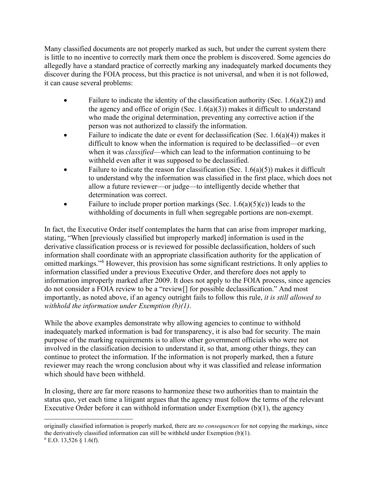Many classified documents are not properly marked as such, but under the current system there is little to no incentive to correctly mark them once the problem is discovered. Some agencies do allegedly have a standard practice of correctly marking any inadequately marked documents they discover during the FOIA process, but this practice is not universal, and when it is not followed, it can cause several problems:

- Failure to indicate the identity of the classification authority (Sec.  $1.6(a)(2)$ ) and the agency and office of origin (Sec.  $1.6(a)(3)$ ) makes it difficult to understand who made the original determination, preventing any corrective action if the person was not authorized to classify the information.
- Failure to indicate the date or event for declassification (Sec.  $1.6(a)(4)$ ) makes it difficult to know when the information is required to be declassified—or even when it was *classified*—which can lead to the information continuing to be withheld even after it was supposed to be declassified.
- Failure to indicate the reason for classification (Sec.  $1.6(a)(5)$ ) makes it difficult to understand why the information was classified in the first place, which does not allow a future reviewer—or judge—to intelligently decide whether that determination was correct.
- Failure to include proper portion markings (Sec.  $1.6(a)(5)(c)$ ) leads to the withholding of documents in full when segregable portions are non-exempt.

In fact, the Executive Order itself contemplates the harm that can arise from improper marking, stating, "When [previously classified but improperly marked] information is used in the derivative classification process or is reviewed for possible declassification, holders of such information shall coordinate with an appropriate classification authority for the application of omitted markings."[6](#page-3-0) However, this provision has some significant restrictions. It only applies to information classified under a previous Executive Order, and therefore does not apply to information improperly marked after 2009. It does not apply to the FOIA process, since agencies do not consider a FOIA review to be a "review[] for possible declassification." And most importantly, as noted above, if an agency outright fails to follow this rule, *it is still allowed to withhold the information under Exemption (b)(1)*.

While the above examples demonstrate why allowing agencies to continue to withhold inadequately marked information is bad for transparency, it is also bad for security. The main purpose of the marking requirements is to allow other government officials who were not involved in the classification decision to understand it, so that, among other things, they can continue to protect the information. If the information is not properly marked, then a future reviewer may reach the wrong conclusion about why it was classified and release information which should have been withheld.

In closing, there are far more reasons to harmonize these two authorities than to maintain the status quo, yet each time a litigant argues that the agency must follow the terms of the relevant Executive Order before it can withhold information under Exemption (b)(1), the agency

<span id="page-3-0"></span>originally classified information is properly marked, there are *no consequences* for not copying the markings, since the derivatively classified information can still be withheld under Exemption (b)(1).  $6$  E.O. 13,526 § 1.6(f).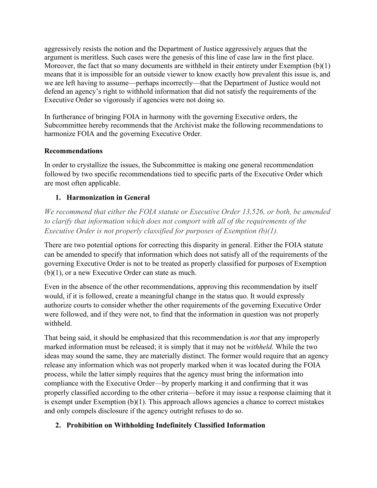aggressively resists the notion and the Department of Justice aggressively argues that the argument is meritless. Such cases were the genesis of this line of case law in the first place. Moreover, the fact that so many documents are withheld in their entirety under Exemption (b)(1) means that it is impossible for an outside viewer to know exactly how prevalent this issue is, and we are left having to assume—perhaps incorrectly—that the Department of Justice would not defend an agency's right to withhold information that did not satisfy the requirements of the Executive Order so vigorously if agencies were not doing so.

In furtherance of bringing FOIA in harmony with the governing Executive orders, the Subcommittee hereby recommends that the Archivist make the following recommendations to harmonize FOIA and the governing Executive Order.

### **Recommendations**

In order to crystallize the issues, the Subcommittee is making one general recommendation followed by two specific recommendations tied to specific parts of the Executive Order which are most often applicable.

# **1. Harmonization in General**

*We recommend that either the FOIA statute or Executive Order 13,526, or both, be amended to clarify that information which does not comport with all of the requirements of the Executive Order is not properly classified for purposes of Exemption (b)(1).*

There are two potential options for correcting this disparity in general. Either the FOIA statute can be amended to specify that information which does not satisfy all of the requirements of the governing Executive Order is not to be treated as properly classified for purposes of Exemption (b)(1), or a new Executive Order can state as much.

Even in the absence of the other recommendations, approving this recommendation by itself would, if it is followed, create a meaningful change in the status quo. It would expressly authorize courts to consider whether the other requirements of the governing Executive Order were followed, and if they were not, to find that the information in question was not properly withheld.

That being said, it should be emphasized that this recommendation is *not* that any improperly marked information must be released; it is simply that it may not be *withheld*. While the two ideas may sound the same, they are materially distinct. The former would require that an agency release any information which was not properly marked when it was located during the FOIA process, while the latter simply requires that the agency must bring the information into compliance with the Executive Order—by properly marking it and confirming that it was properly classified according to the other criteria—before it may issue a response claiming that it is exempt under Exemption (b)(1). This approach allows agencies a chance to correct mistakes and only compels disclosure if the agency outright refuses to do so.

# **2. Prohibition on Withholding Indefinitely Classified Information**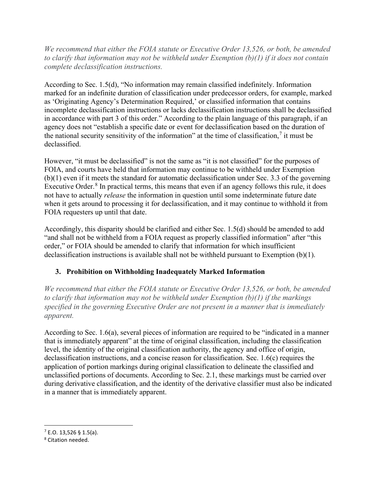*We recommend that either the FOIA statute or Executive Order 13,526, or both, be amended to clarify that information may not be withheld under Exemption (b)(1) if it does not contain complete declassification instructions.*

According to Sec. 1.5(d), "No information may remain classified indefinitely. Information marked for an indefinite duration of classification under predecessor orders, for example, marked as 'Originating Agency's Determination Required,' or classified information that contains incomplete declassification instructions or lacks declassification instructions shall be declassified in accordance with part 3 of this order." According to the plain language of this paragraph, if an agency does not "establish a specific date or event for declassification based on the duration of the national security sensitivity of the information" at the time of classification, $\frac{7}{1}$  $\frac{7}{1}$  $\frac{7}{1}$  it must be declassified.

However, "it must be declassified" is not the same as "it is not classified" for the purposes of FOIA, and courts have held that information may continue to be withheld under Exemption (b)(1) even if it meets the standard for automatic declassification under Sec. 3.3 of the governing Executive Order. $8$  In practical terms, this means that even if an agency follows this rule, it does not have to actually *release* the information in question until some indeterminate future date when it gets around to processing it for declassification, and it may continue to withhold it from FOIA requesters up until that date.

Accordingly, this disparity should be clarified and either Sec. 1.5(d) should be amended to add "and shall not be withheld from a FOIA request as properly classified information" after "this order," or FOIA should be amended to clarify that information for which insufficient declassification instructions is available shall not be withheld pursuant to Exemption (b)(1).

# **3. Prohibition on Withholding Inadequately Marked Information**

*We recommend that either the FOIA statute or Executive Order 13,526, or both, be amended to clarify that information may not be withheld under Exemption (b)(1) if the markings specified in the governing Executive Order are not present in a manner that is immediately apparent.*

According to Sec. 1.6(a), several pieces of information are required to be "indicated in a manner that is immediately apparent" at the time of original classification, including the classification level, the identity of the original classification authority, the agency and office of origin, declassification instructions, and a concise reason for classification. Sec. 1.6(c) requires the application of portion markings during original classification to delineate the classified and unclassified portions of documents. According to Sec. 2.1, these markings must be carried over during derivative classification, and the identity of the derivative classifier must also be indicated in a manner that is immediately apparent.

<span id="page-5-0"></span> $7$  E.O. 13,526 § 1.5(a).

<span id="page-5-1"></span><sup>8</sup> Citation needed.